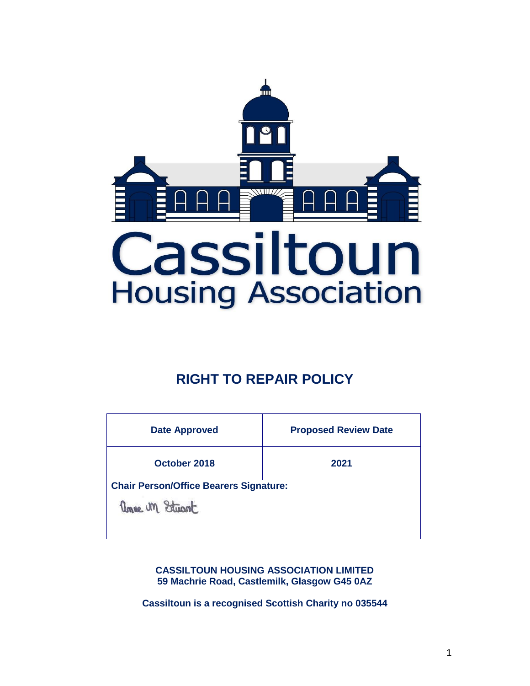

# **RIGHT TO REPAIR POLICY**

| <b>Date Approved</b>                          | <b>Proposed Review Date</b> |  |
|-----------------------------------------------|-----------------------------|--|
| October 2018                                  | 2021                        |  |
| <b>Chair Person/Office Bearers Signature:</b> |                             |  |
| Unne un Stuart                                |                             |  |

**CASSILTOUN HOUSING ASSOCIATION LIMITED 59 Machrie Road, Castlemilk, Glasgow G45 0AZ**

**Cassiltoun is a recognised Scottish Charity no 035544**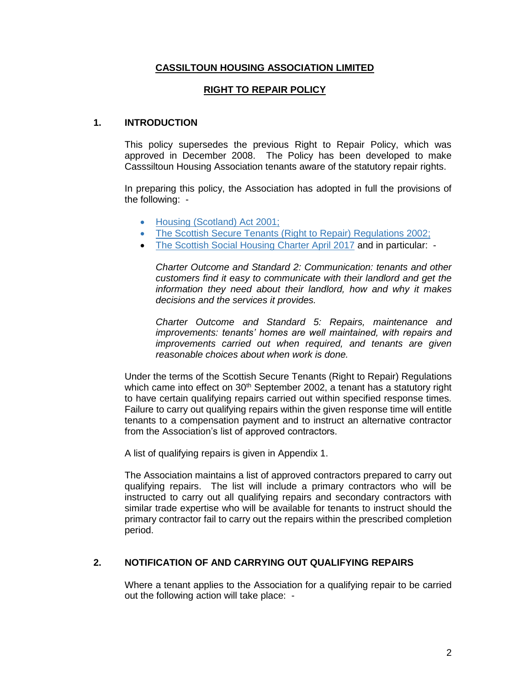#### **CASSILTOUN HOUSING ASSOCIATION LIMITED**

#### **RIGHT TO REPAIR POLICY**

#### **1. INTRODUCTION**

This policy supersedes the previous Right to Repair Policy, which was approved in December 2008. The Policy has been developed to make Casssiltoun Housing Association tenants aware of the statutory repair rights.

In preparing this policy, the Association has adopted in full the provisions of the following: -

- [Housing \(Scotland\) Act 2001;](http://www.hmso.gov.uk/legislation/Scotland/acts2001/20010010.htm)
- [The Scottish Secure Tenants \(Right to Repair\) Regulations 2002;](http://www.opsi.gov.uk/legislation/scotland/ssi2002/20020316.htm)
- [The](http://www.communitiesscotland.gov.uk/stellent/groups/public/documents/webpages/shr_performancestan_ia47f1df80.pdf) Scottish Social Housing Charter April 2017 and in particular: -

*Charter Outcome and Standard 2: Communication: tenants and other customers find it easy to communicate with their landlord and get the information they need about their landlord, how and why it makes decisions and the services it provides.*

*Charter Outcome and Standard 5: Repairs, maintenance and improvements: tenants' homes are well maintained, with repairs and improvements carried out when required, and tenants are given reasonable choices about when work is done.* 

Under the terms of the Scottish Secure Tenants (Right to Repair) Regulations which came into effect on 30<sup>th</sup> September 2002, a tenant has a statutory right to have certain qualifying repairs carried out within specified response times. Failure to carry out qualifying repairs within the given response time will entitle tenants to a compensation payment and to instruct an alternative contractor from the Association's list of approved contractors.

A list of qualifying repairs is given in Appendix 1.

The Association maintains a list of approved contractors prepared to carry out qualifying repairs. The list will include a primary contractors who will be instructed to carry out all qualifying repairs and secondary contractors with similar trade expertise who will be available for tenants to instruct should the primary contractor fail to carry out the repairs within the prescribed completion period.

#### **2. NOTIFICATION OF AND CARRYING OUT QUALIFYING REPAIRS**

Where a tenant applies to the Association for a qualifying repair to be carried out the following action will take place: -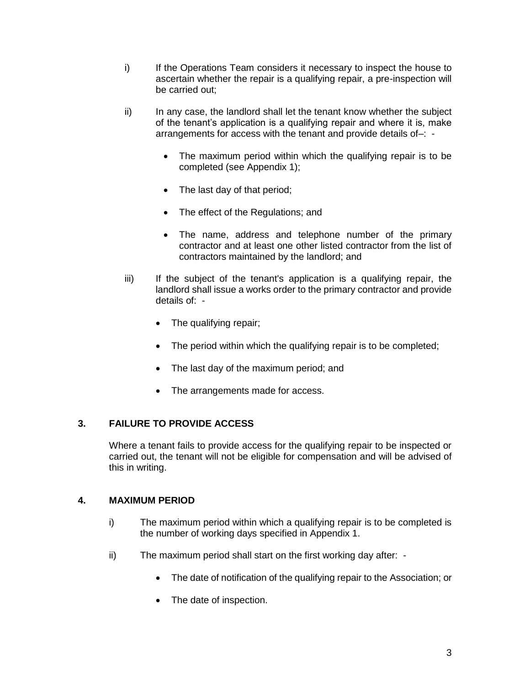- i) If the Operations Team considers it necessary to inspect the house to ascertain whether the repair is a qualifying repair, a pre-inspection will be carried out;
- ii) In any case, the landlord shall let the tenant know whether the subject of the tenant's application is a qualifying repair and where it is, make arrangements for access with the tenant and provide details of–: -
	- The maximum period within which the qualifying repair is to be completed (see Appendix 1);
	- The last day of that period;
	- The effect of the Regulations; and
	- The name, address and telephone number of the primary contractor and at least one other listed contractor from the list of contractors maintained by the landlord; and
- iii) If the subject of the tenant's application is a qualifying repair, the landlord shall issue a works order to the primary contractor and provide details of: -
	- The qualifying repair;
	- The period within which the qualifying repair is to be completed;
	- The last day of the maximum period; and
	- The arrangements made for access.

# **3. FAILURE TO PROVIDE ACCESS**

Where a tenant fails to provide access for the qualifying repair to be inspected or carried out, the tenant will not be eligible for compensation and will be advised of this in writing.

#### **4. MAXIMUM PERIOD**

- i) The maximum period within which a qualifying repair is to be completed is the number of working days specified in Appendix 1.
- ii) The maximum period shall start on the first working day after:
	- The date of notification of the qualifying repair to the Association; or
	- The date of inspection.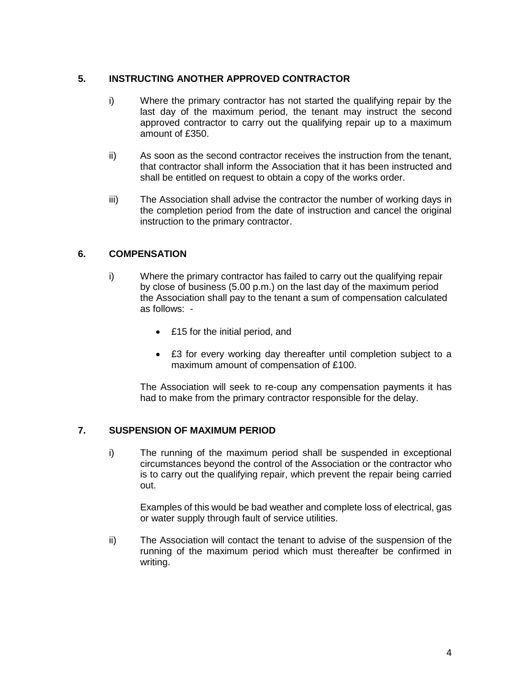### **5. INSTRUCTING ANOTHER APPROVED CONTRACTOR**

- i) Where the primary contractor has not started the qualifying repair by the last day of the maximum period, the tenant may instruct the second approved contractor to carry out the qualifying repair up to a maximum amount of £350.
- ii) As soon as the second contractor receives the instruction from the tenant, that contractor shall inform the Association that it has been instructed and shall be entitled on request to obtain a copy of the works order.
- iii) The Association shall advise the contractor the number of working days in the completion period from the date of instruction and cancel the original instruction to the primary contractor.

# **6. COMPENSATION**

- i) Where the primary contractor has failed to carry out the qualifying repair by close of business (5.00 p.m.) on the last day of the maximum period the Association shall pay to the tenant a sum of compensation calculated as follows: -
	- £15 for the initial period, and
	- £3 for every working day thereafter until completion subject to a maximum amount of compensation of £100.

The Association will seek to re-coup any compensation payments it has had to make from the primary contractor responsible for the delay.

#### **7. SUSPENSION OF MAXIMUM PERIOD**

i) The running of the maximum period shall be suspended in exceptional circumstances beyond the control of the Association or the contractor who is to carry out the qualifying repair, which prevent the repair being carried out.

Examples of this would be bad weather and complete loss of electrical, gas or water supply through fault of service utilities.

ii) The Association will contact the tenant to advise of the suspension of the running of the maximum period which must thereafter be confirmed in writing.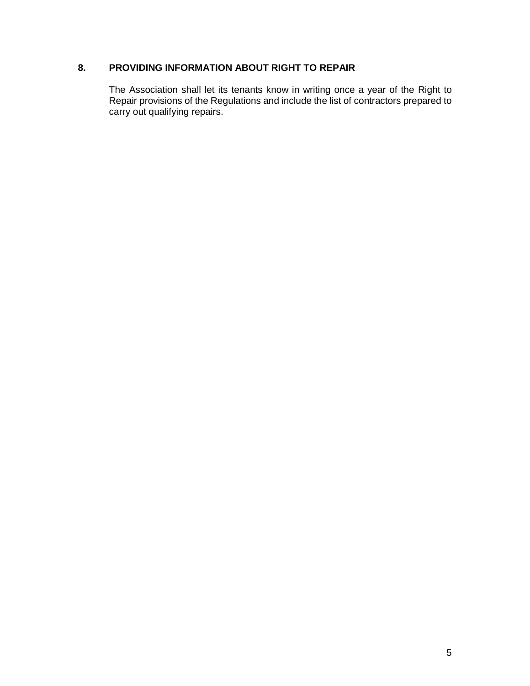# **8. PROVIDING INFORMATION ABOUT RIGHT TO REPAIR**

The Association shall let its tenants know in writing once a year of the Right to Repair provisions of the Regulations and include the list of contractors prepared to carry out qualifying repairs.